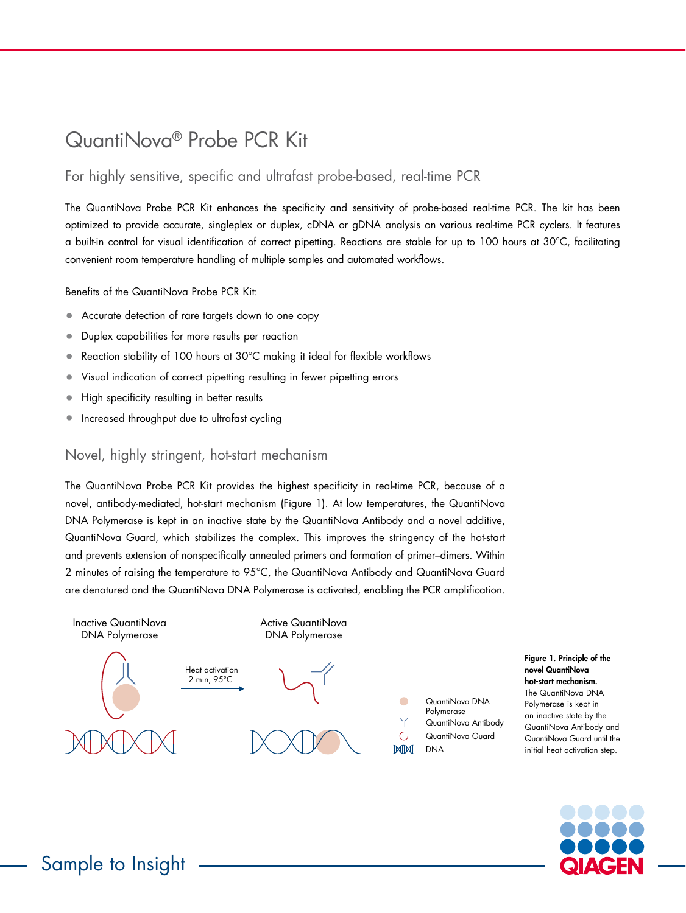# QuantiNova® Probe PCR Kit

## For highly sensitive, specific and ultrafast probe-based, real-time PCR

The QuantiNova Probe PCR Kit enhances the specificity and sensitivity of probe-based real-time PCR. The kit has been optimized to provide accurate, singleplex or duplex, cDNA or gDNA analysis on various real-time PCR cyclers. It features a built-in control for visual identification of correct pipetting. Reactions are stable for up to 100 hours at 30°C, facilitating convenient room temperature handling of multiple samples and automated workflows.

Benefits of the QuantiNova Probe PCR Kit:

- Accurate detection of rare targets down to one copy
- Duplex capabilities for more results per reaction
- Reaction stability of 100 hours at 30°C making it ideal for flexible workflows
- Visual indication of correct pipetting resulting in fewer pipetting errors
- High specificity resulting in better results
- Increased throughput due to ultrafast cycling

### Novel, highly stringent, hot-start mechanism

The QuantiNova Probe PCR Kit provides the highest specificity in real-time PCR, because of a novel, antibody-mediated, hot-start mechanism (Figure 1). At low temperatures, the QuantiNova DNA Polymerase is kept in an inactive state by the QuantiNova Antibody and a novel additive, QuantiNova Guard, which stabilizes the complex. This improves the stringency of the hot-start and prevents extension of nonspecifically annealed primers and formation of primer–dimers. Within 2 minutes of raising the temperature to 95°C, the QuantiNova Antibody and QuantiNova Guard are denatured and the QuantiNova DNA Polymerase is activated, enabling the PCR amplification.



Figure 1. Principle of the novel QuantiNova hot-start mechanism. The QuantiNova DNA Polymerase is kept in an inactive state by the QuantiNova Antibody and QuantiNova Guard until the initial heat activation step.

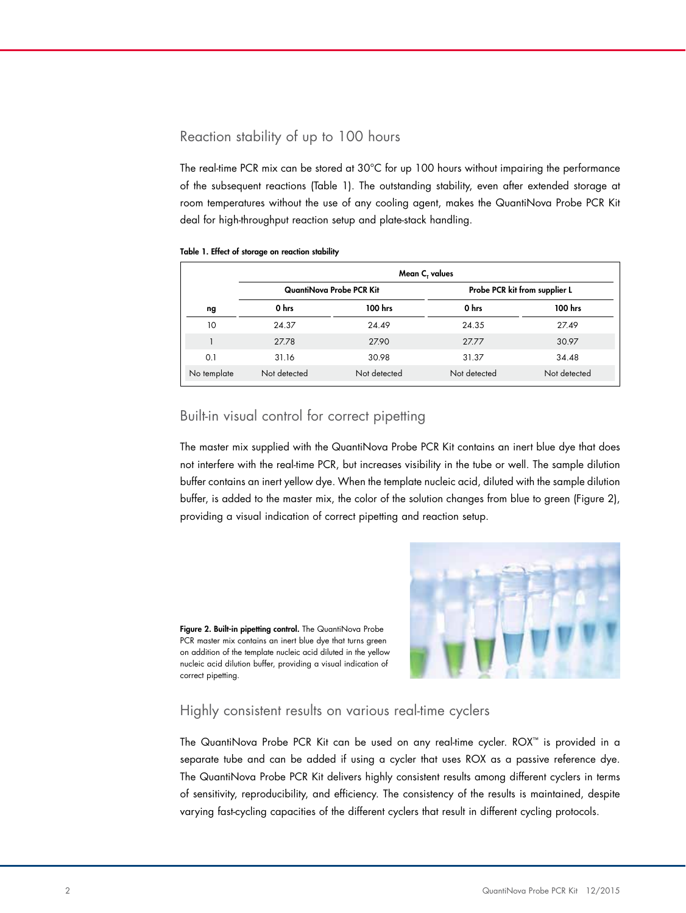## Reaction stability of up to 100 hours

The real-time PCR mix can be stored at 30°C for up 100 hours without impairing the performance of the subsequent reactions (Table 1). The outstanding stability, even after extended storage at room temperatures without the use of any cooling agent, makes the QuantiNova Probe PCR Kit deal for high-throughput reaction setup and plate-stack handling.

#### Table 1. Effect of storage on reaction stability

|             | Mean C, values           |              |                               |              |
|-------------|--------------------------|--------------|-------------------------------|--------------|
|             | QuantiNova Probe PCR Kit |              | Probe PCR kit from supplier L |              |
| ng          | 0 hrs                    | 100 hrs      | 0 hrs                         | 100 hrs      |
| 10          | 24.37                    | 24.49        | 24.35                         | 27.49        |
|             | 27.78                    | 27.90        | 27.77                         | 30.97        |
| 0.1         | 31.16                    | 30.98        | 31.37                         | 34.48        |
| No template | Not detected             | Not detected | Not detected                  | Not detected |

#### Built-in visual control for correct pipetting

The master mix supplied with the QuantiNova Probe PCR Kit contains an inert blue dye that does not interfere with the real-time PCR, but increases visibility in the tube or well. The sample dilution buffer contains an inert yellow dye. When the template nucleic acid, diluted with the sample dilution buffer, is added to the master mix, the color of the solution changes from blue to green (Figure 2), providing a visual indication of correct pipetting and reaction setup.

Figure 2. Built-in pipetting control. The QuantiNova Probe PCR master mix contains an inert blue dye that turns green on addition of the template nucleic acid diluted in the yellow nucleic acid dilution buffer, providing a visual indication of correct pipetting.



#### Highly consistent results on various real-time cyclers

The QuantiNova Probe PCR Kit can be used on any real-time cycler. ROX™ is provided in a separate tube and can be added if using a cycler that uses ROX as a passive reference dye. The QuantiNova Probe PCR Kit delivers highly consistent results among different cyclers in terms of sensitivity, reproducibility, and efficiency. The consistency of the results is maintained, despite varying fast-cycling capacities of the different cyclers that result in different cycling protocols.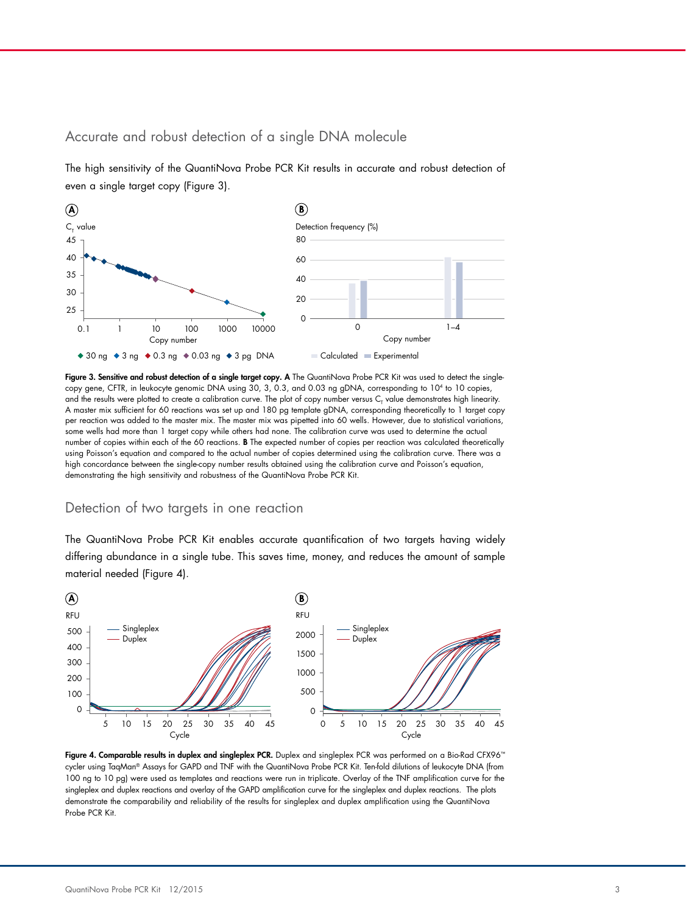#### Accurate and robust detection of a single DNA molecule 25

The high sensitivity of the QuantiNova Probe PCR Kit results in accurate and robust detection of even a single target copy (Figure 3).

CT value



Figure 3. Sensitive and robust detection of a single target copy. A The QuantiNova Probe PCR Kit was used to detect the singlecopy gene, CFTR, in leukocyte genomic DNA using 30, 3, 0.3, and 0.03 ng gDNA, corresponding to 104 to 10 copies, and the results were plotted to create a calibration curve. The plot of copy number versus  ${\sf C}_7$  value demonstrates high linearity. and the results were plotted to create a canoration curve. The plot of copy homber versus o<sub>r</sub> value demonstrates mgm meantly.<br>A master mix sufficient for 60 reactions was set up and 180 pg template gDNA, corresponding the per reaction was added to the master mix. The master mix was pipetted into 60 wells. However, due to statistical variations, some wells had more than 1 target copy while others had none. The calibration curve was used to determine the actual 60 number of copies within each of the 60 reactions. B The expected number of copies per reaction was calculated theoretically using Poisson's equation and compared to the actual number of copies determined using the calibration curve. There was a high concordance between the single-copy number results obtained using the calibration curve and Poisson's equation, Singleplex demonstrating the high sensitivity and robustness of the QuantiNova Probe PCR Kit.

#### Detection of two targets in one reaction Copy number

The QuantiNova Probe PCR Kit enables accurate quantification of two targets having widely differing abundance in a single tube. This saves time, money, and reduces the amount of sample material needed (Figure 4). 0



Figure 4. Comparable results in duplex and singleplex PCR. Duplex and singleplex PCR was performed on a Bio-Rad CFX96™ cycler using TaqMan® Assays for GAPD and TNF with the QuantiNova Probe PCR Kit. Ten-fold dilutions of leukocyte DNA (from 100 ng to 10 pg) were used as templates and reactions were run in triplicate. Overlay of the TNF amplification curve for the singleplex and duplex reactions and overlay of the GAPD amplification curve for the singleplex and duplex reactions. The plots Singleplex demonstrate the comparability and reliability of the results for singleplex and duplex amplification using the QuantiNova Probe PCR Kit.